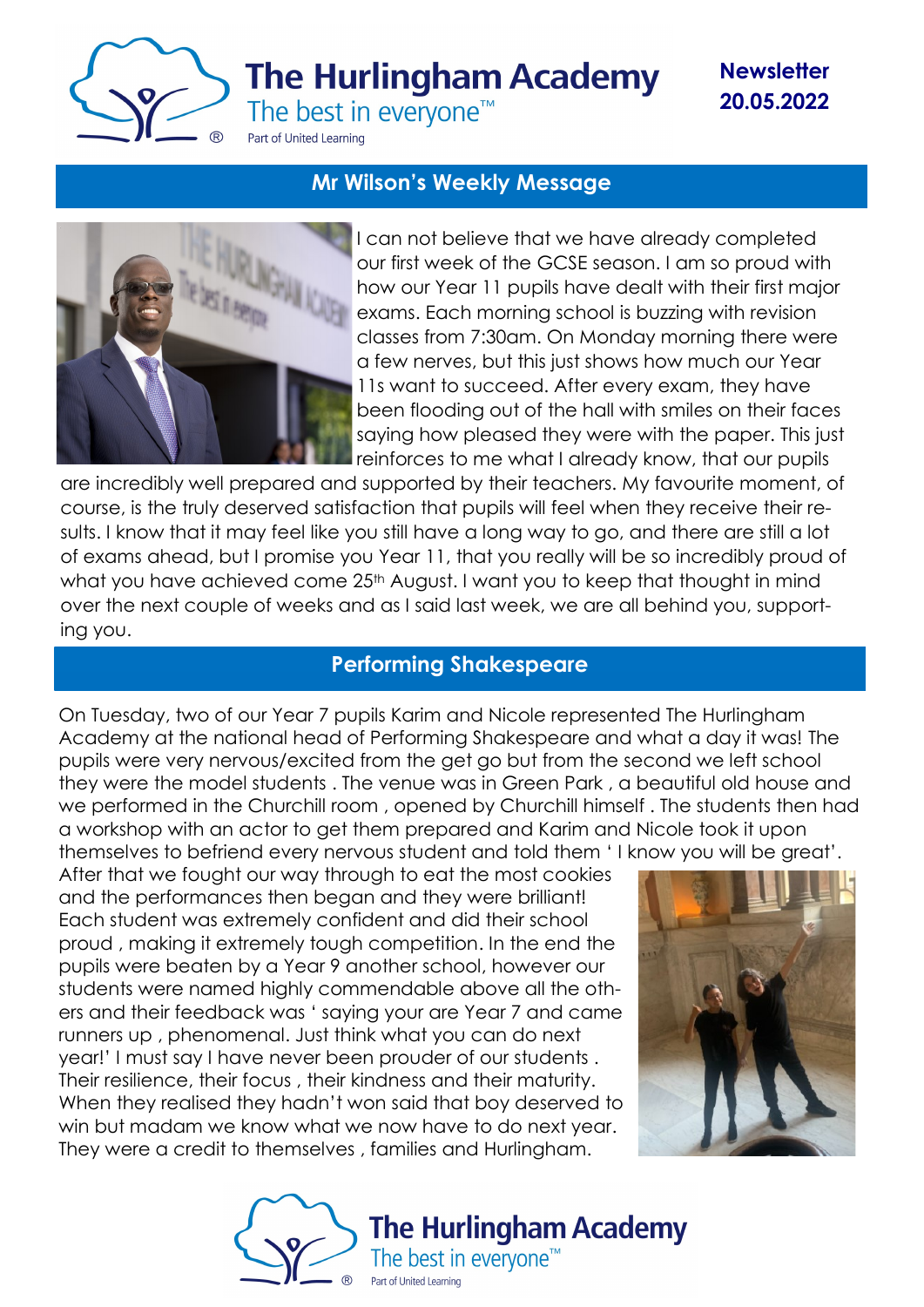

**Newsletter 20.05.2022**

### **Mr Wilson's Weekly Message**



I can not believe that we have already completed our first week of the GCSE season. I am so proud with how our Year 11 pupils have dealt with their first major exams. Each morning school is buzzing with revision classes from 7:30am. On Monday morning there were a few nerves, but this just shows how much our Year 11s want to succeed. After every exam, they have been flooding out of the hall with smiles on their faces saying how pleased they were with the paper. This just reinforces to me what I already know, that our pupils

are incredibly well prepared and supported by their teachers. My favourite moment, of course, is the truly deserved satisfaction that pupils will feel when they receive their results. I know that it may feel like you still have a long way to go, and there are still a lot of exams ahead, but I promise you Year 11, that you really will be so incredibly proud of what you have achieved come 25<sup>th</sup> August. I want you to keep that thought in mind over the next couple of weeks and as I said last week, we are all behind you, supporting you.

# **Performing Shakespeare**

On Tuesday, two of our Year 7 pupils Karim and Nicole represented The Hurlingham Academy at the national head of Performing Shakespeare and what a day it was! The pupils were very nervous/excited from the get go but from the second we left school they were the model students . The venue was in Green Park , a beautiful old house and we performed in the Churchill room , opened by Churchill himself . The students then had a workshop with an actor to get them prepared and Karim and Nicole took it upon themselves to befriend every nervous student and told them ' I know you will be great'.

After that we fought our way through to eat the most cookies and the performances then began and they were brilliant! Each student was extremely confident and did their school proud , making it extremely tough competition. In the end the pupils were beaten by a Year 9 another school, however our students were named highly commendable above all the others and their feedback was ' saying your are Year 7 and came runners up , phenomenal. Just think what you can do next year!' I must say I have never been prouder of our students . Their resilience, their focus , their kindness and their maturity. When they realised they hadn't won said that boy deserved to win but madam we know what we now have to do next year. They were a credit to themselves , families and Hurlingham.



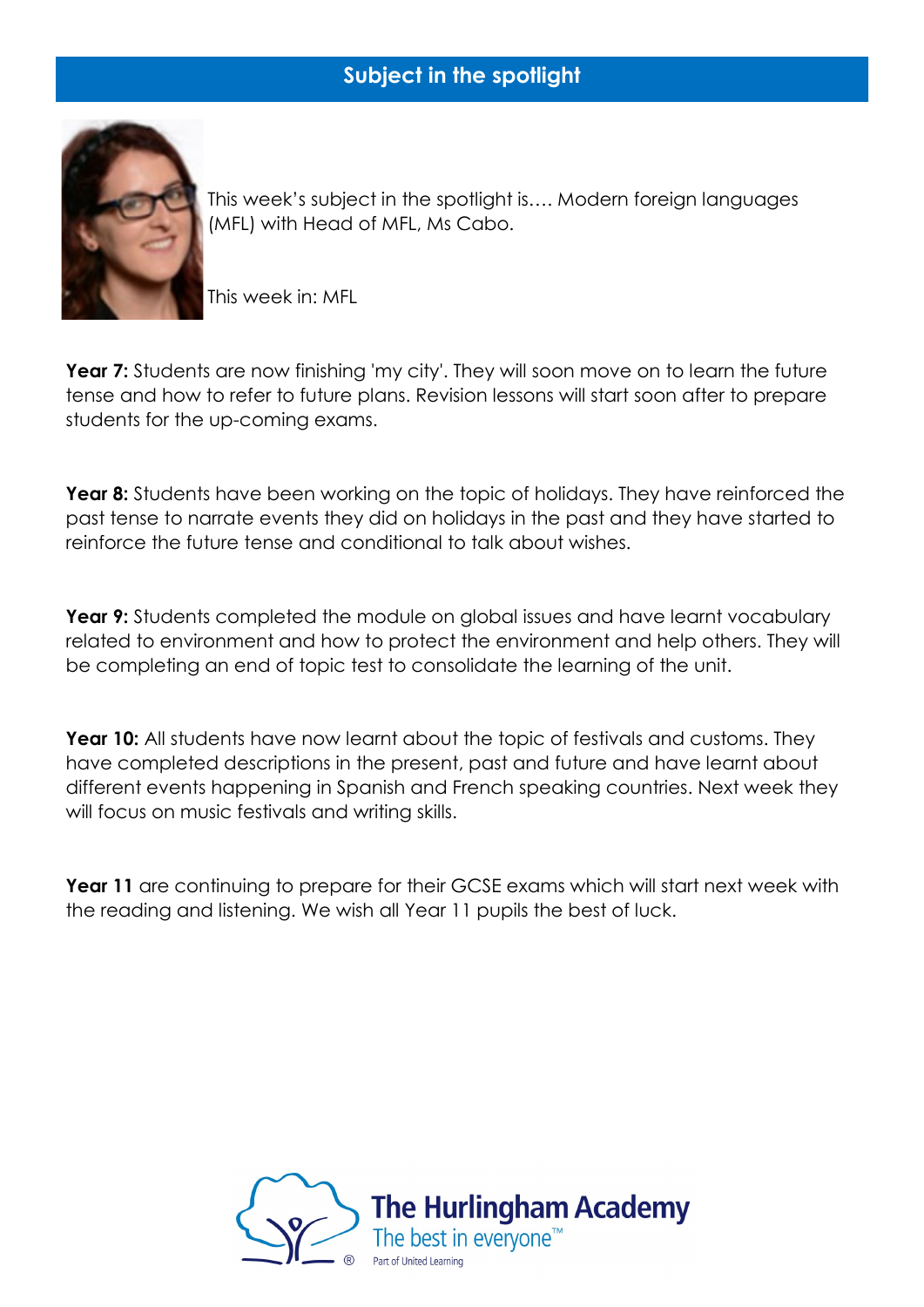# **Subject in the spotlight**



This week's subject in the spotlight is…. Modern foreign languages (MFL) with Head of MFL, Ms Cabo.

This week in: MFL

**Year 7:** Students are now finishing 'my city'. They will soon move on to learn the future tense and how to refer to future plans. Revision lessons will start soon after to prepare students for the up-coming exams.

**Year 8:** Students have been working on the topic of holidays. They have reinforced the past tense to narrate events they did on holidays in the past and they have started to reinforce the future tense and conditional to talk about wishes.

**Year 9:** Students completed the module on global issues and have learnt vocabulary related to environment and how to protect the environment and help others. They will be completing an end of topic test to consolidate the learning of the unit.

**Year 10:** All students have now learnt about the topic of festivals and customs. They have completed descriptions in the present, past and future and have learnt about different events happening in Spanish and French speaking countries. Next week they will focus on music festivals and writing skills.

Year 11 are continuing to prepare for their GCSE exams which will start next week with the reading and listening. We wish all Year 11 pupils the best of luck.

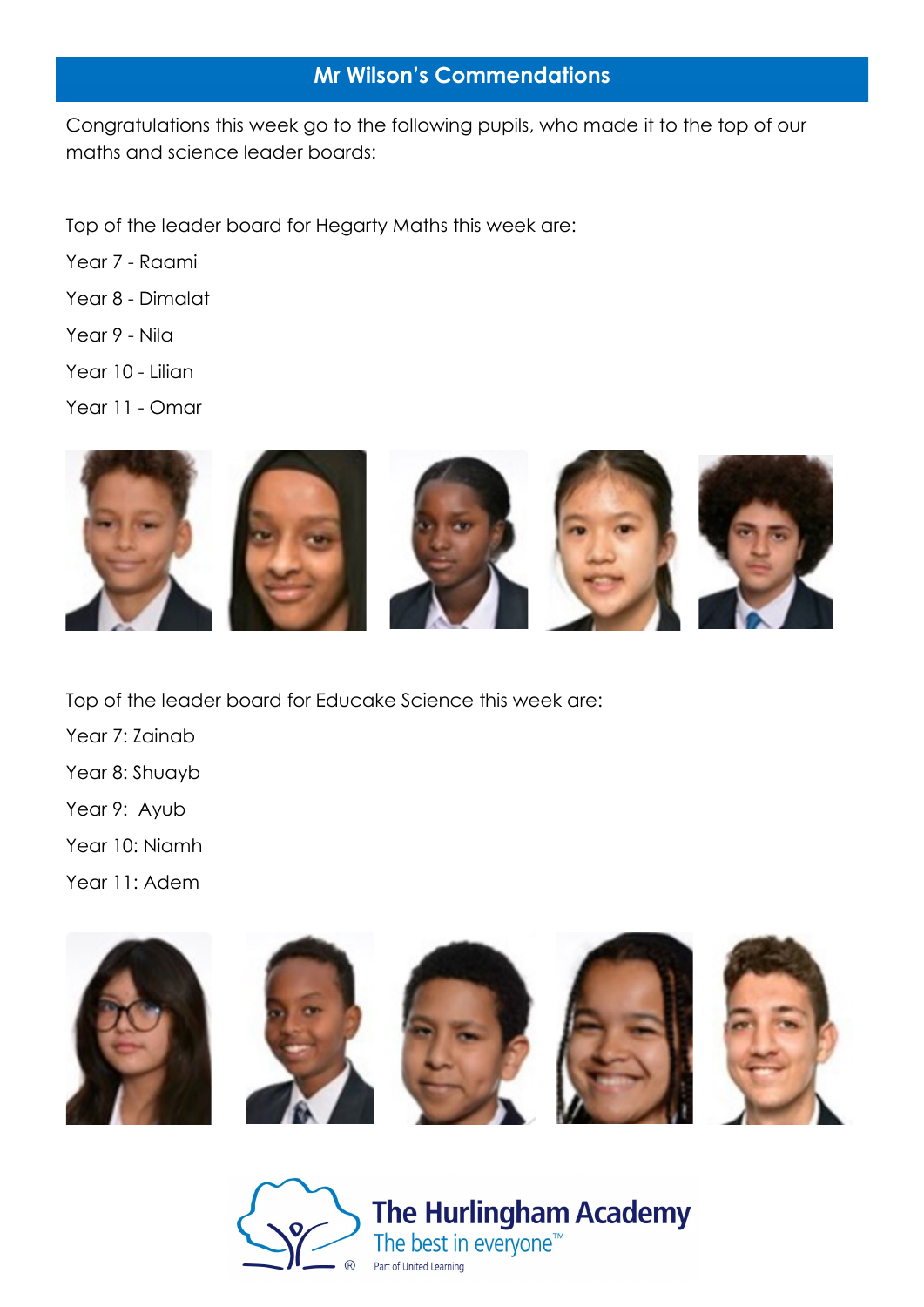## **Mr Wilson's Commendations**

Congratulations this week go to the following pupils, who made it to the top of our maths and science leader boards:

Top of the leader board for Hegarty Maths this week are:

- Year 7 Raami
- Year 8 Dimalat
- Year 9 Nila
- Year 10 Lilian
- Year 11 Omar



Top of the leader board for Educake Science this week are:

Year 7: Zainab Year 8: Shuayb Year 9: Ayub Year 10: Niamh Year 11: Adem